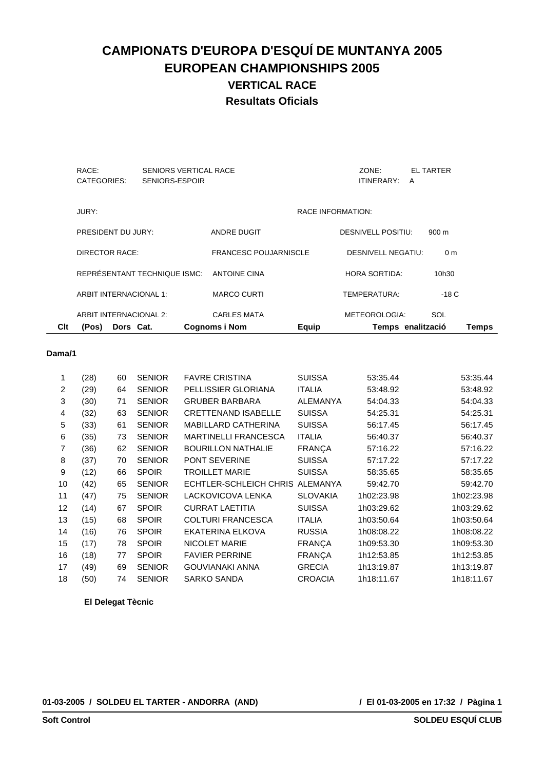| Clt | (Pos)<br>Dors Cat.           |                                         | <b>Cognoms i Nom</b>         | Equip                    |                           | Temps enalització | Temps |
|-----|------------------------------|-----------------------------------------|------------------------------|--------------------------|---------------------------|-------------------|-------|
|     | ARBIT INTERNACIONAL 2:       |                                         | <b>CARLES MATA</b>           |                          | METEOROLOGIA:             | SOL               |       |
|     | ARBIT INTERNACIONAL 1:       |                                         | <b>MARCO CURTI</b>           |                          | TEMPERATURA:              | -18 C             |       |
|     | REPRÉSENTANT TECHNIQUE ISMC: |                                         | <b>ANTOINE CINA</b>          |                          | <b>HORA SORTIDA:</b>      | 10h30             |       |
|     | <b>DIRECTOR RACE:</b>        |                                         | <b>FRANCESC POUJARNISCLE</b> |                          | <b>DESNIVELL NEGATIU:</b> | 0 <sub>m</sub>    |       |
|     | PRESIDENT DU JURY:           |                                         | <b>ANDRE DUGIT</b>           |                          | <b>DESNIVELL POSITIU:</b> | $900 \text{ m}$   |       |
|     | JURY:                        |                                         |                              | <b>RACE INFORMATION:</b> |                           |                   |       |
|     | RACE:<br>CATEGORIES:         | SENIORS VERTICAL RACE<br>SENIORS-ESPOIR |                              |                          | ZONE:<br>ITINERARY:       | EL TARTER<br>A    |       |
|     |                              |                                         |                              |                          |                           |                   |       |

#### **Dama/1**

| 1  | (28) | 60 | <b>SENIOR</b> | <b>FAVRE CRISTINA</b>           | <b>SUISSA</b>   | 53:35.44   | 53:35.44   |
|----|------|----|---------------|---------------------------------|-----------------|------------|------------|
| 2  | (29) | 64 | <b>SENIOR</b> | PELLISSIER GLORIANA             | <b>ITALIA</b>   | 53:48.92   | 53:48.92   |
| 3  | (30) | 71 | <b>SENIOR</b> | <b>GRUBER BARBARA</b>           | <b>ALEMANYA</b> | 54:04.33   | 54:04.33   |
| 4  | (32) | 63 | <b>SENIOR</b> | <b>CRETTENAND ISABELLE</b>      | <b>SUISSA</b>   | 54:25.31   | 54:25.31   |
| 5  | (33) | 61 | <b>SENIOR</b> | <b>MABILLARD CATHERINA</b>      | <b>SUISSA</b>   | 56:17.45   | 56:17.45   |
| 6  | (35) | 73 | <b>SENIOR</b> | <b>MARTINELLI FRANCESCA</b>     | <b>ITALIA</b>   | 56:40.37   | 56:40.37   |
| 7  | (36) | 62 | <b>SENIOR</b> | <b>BOURILLON NATHALIE</b>       | <b>FRANÇA</b>   | 57:16.22   | 57:16.22   |
| 8  | (37) | 70 | <b>SENIOR</b> | <b>PONT SEVERINE</b>            | <b>SUISSA</b>   | 57:17.22   | 57:17.22   |
| 9  | (12) | 66 | <b>SPOIR</b>  | <b>TROILLET MARIE</b>           | <b>SUISSA</b>   | 58:35.65   | 58:35.65   |
| 10 | (42) | 65 | <b>SENIOR</b> | ECHTLER-SCHLEICH CHRIS ALEMANYA |                 | 59:42.70   | 59:42.70   |
| 11 | (47) | 75 | <b>SENIOR</b> | LACKOVICOVA LENKA               | <b>SLOVAKIA</b> | 1h02:23.98 | 1h02:23.98 |
| 12 | (14) | 67 | <b>SPOIR</b>  | <b>CURRAT LAETITIA</b>          | <b>SUISSA</b>   | 1h03:29.62 | 1h03:29.62 |
| 13 | (15) | 68 | <b>SPOIR</b>  | <b>COLTURI FRANCESCA</b>        | <b>ITALIA</b>   | 1h03:50.64 | 1h03:50.64 |
| 14 | (16) | 76 | <b>SPOIR</b>  | EKATERINA ELKOVA                | <b>RUSSIA</b>   | 1h08:08.22 | 1h08:08.22 |
| 15 | (17) | 78 | <b>SPOIR</b>  | NICOLET MARIE                   | <b>FRANÇA</b>   | 1h09:53.30 | 1h09:53.30 |
| 16 | (18) | 77 | <b>SPOIR</b>  | <b>FAVIER PERRINE</b>           | <b>FRANÇA</b>   | 1h12:53.85 | 1h12:53.85 |
| 17 | (49) | 69 | <b>SENIOR</b> | <b>GOUVIANAKI ANNA</b>          | <b>GRECIA</b>   | 1h13:19.87 | 1h13:19.87 |
| 18 | (50) | 74 | <b>SENIOR</b> | <b>SARKO SANDA</b>              | <b>CROACIA</b>  | 1h18:11.67 | 1h18:11.67 |
|    |      |    |               |                                 |                 |            |            |

**El Delegat Tècnic**

**01-03-2005 / SOLDEU EL TARTER - ANDORRA (AND)**

 **/ El 01-03-2005 en 17:32 / Pàgina 1**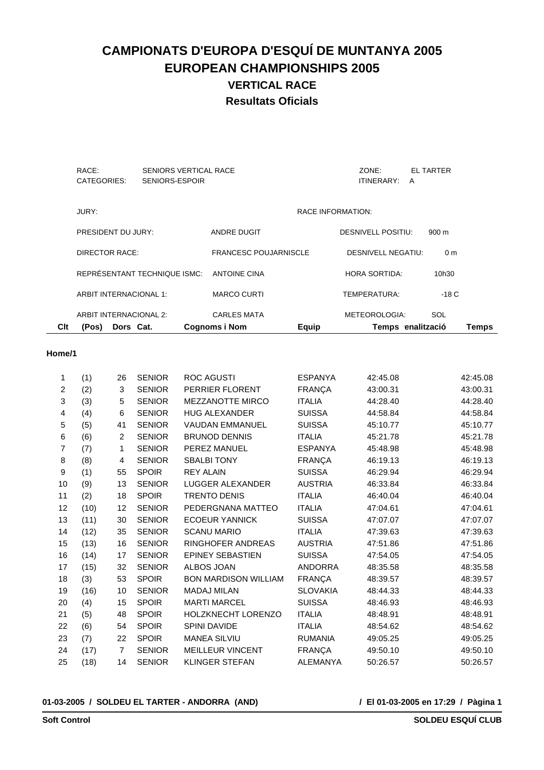| Clt | (Pos)<br>Dors Cat.           |                                         | <b>Cognoms i Nom</b>         | Equip                    |                           | Temps enalització | Temps |
|-----|------------------------------|-----------------------------------------|------------------------------|--------------------------|---------------------------|-------------------|-------|
|     | ARBIT INTERNACIONAL 2:       |                                         | <b>CARLES MATA</b>           |                          | METEOROLOGIA:             | SOL               |       |
|     | ARBIT INTERNACIONAL 1:       |                                         | <b>MARCO CURTI</b>           |                          | TEMPERATURA:              | -18 C             |       |
|     | REPRÉSENTANT TECHNIQUE ISMC: |                                         | <b>ANTOINE CINA</b>          |                          | <b>HORA SORTIDA:</b>      | 10h30             |       |
|     | <b>DIRECTOR RACE:</b>        |                                         | <b>FRANCESC POUJARNISCLE</b> |                          | <b>DESNIVELL NEGATIU:</b> | 0 <sub>m</sub>    |       |
|     | PRESIDENT DU JURY:           |                                         | <b>ANDRE DUGIT</b>           |                          | <b>DESNIVELL POSITIU:</b> | $900 \text{ m}$   |       |
|     | JURY:                        |                                         |                              | <b>RACE INFORMATION:</b> |                           |                   |       |
|     | RACE:<br>CATEGORIES:         | SENIORS VERTICAL RACE<br>SENIORS-ESPOIR |                              |                          | ZONE:<br>ITINERARY:       | EL TARTER<br>A    |       |
|     |                              |                                         |                              |                          |                           |                   |       |

#### **Home/1**

| 1              | (1)  | 26             | <b>SENIOR</b> | <b>ROC AGUSTI</b>           | <b>ESPANYA</b>  | 42:45.08 | 42:45.08 |
|----------------|------|----------------|---------------|-----------------------------|-----------------|----------|----------|
| 2              | (2)  | 3              | <b>SENIOR</b> | PERRIER FLORENT             | <b>FRANÇA</b>   | 43:00.31 | 43:00.31 |
| 3              | (3)  | 5              | <b>SENIOR</b> | <b>MEZZANOTTE MIRCO</b>     | <b>ITALIA</b>   | 44:28.40 | 44:28.40 |
| 4              | (4)  | 6              | <b>SENIOR</b> | <b>HUG ALEXANDER</b>        | <b>SUISSA</b>   | 44:58.84 | 44:58.84 |
| 5              | (5)  | 41             | <b>SENIOR</b> | <b>VAUDAN EMMANUEL</b>      | <b>SUISSA</b>   | 45:10.77 | 45:10.77 |
| 6              | (6)  | $\overline{2}$ | <b>SENIOR</b> | <b>BRUNOD DENNIS</b>        | <b>ITALIA</b>   | 45:21.78 | 45:21.78 |
| $\overline{7}$ | (7)  | 1              | <b>SENIOR</b> | PEREZ MANUEL                | <b>ESPANYA</b>  | 45:48.98 | 45:48.98 |
| 8              | (8)  | 4              | <b>SENIOR</b> | <b>SBALBI TONY</b>          | <b>FRANÇA</b>   | 46:19.13 | 46:19.13 |
| 9              | (1)  | 55             | <b>SPOIR</b>  | <b>REY ALAIN</b>            | <b>SUISSA</b>   | 46:29.94 | 46:29.94 |
| 10             | (9)  | 13             | <b>SENIOR</b> | <b>LUGGER ALEXANDER</b>     | <b>AUSTRIA</b>  | 46:33.84 | 46:33.84 |
| 11             | (2)  | 18             | <b>SPOIR</b>  | <b>TRENTO DENIS</b>         | <b>ITALIA</b>   | 46:40.04 | 46:40.04 |
| 12             | (10) | 12             | <b>SENIOR</b> | PEDERGNANA MATTEO           | <b>ITALIA</b>   | 47:04.61 | 47:04.61 |
| 13             | (11) | 30             | <b>SENIOR</b> | <b>ECOEUR YANNICK</b>       | <b>SUISSA</b>   | 47:07.07 | 47:07.07 |
| 14             | (12) | 35             | <b>SENIOR</b> | <b>SCANU MARIO</b>          | <b>ITALIA</b>   | 47:39.63 | 47:39.63 |
| 15             | (13) | 16             | <b>SENIOR</b> | RINGHOFER ANDREAS           | <b>AUSTRIA</b>  | 47:51.86 | 47:51.86 |
| 16             | (14) | 17             | <b>SENIOR</b> | <b>EPINEY SEBASTIEN</b>     | <b>SUISSA</b>   | 47:54.05 | 47:54.05 |
| 17             | (15) | 32             | <b>SENIOR</b> | ALBOS JOAN                  | <b>ANDORRA</b>  | 48:35.58 | 48:35.58 |
| 18             | (3)  | 53             | <b>SPOIR</b>  | <b>BON MARDISON WILLIAM</b> | <b>FRANÇA</b>   | 48:39.57 | 48:39.57 |
| 19             | (16) | 10             | <b>SENIOR</b> | <b>MADAJ MILAN</b>          | <b>SLOVAKIA</b> | 48:44.33 | 48:44.33 |
| 20             | (4)  | 15             | <b>SPOIR</b>  | <b>MARTI MARCEL</b>         | <b>SUISSA</b>   | 48:46.93 | 48:46.93 |
| 21             | (5)  | 48             | <b>SPOIR</b>  | <b>HOLZKNECHT LORENZO</b>   | <b>ITALIA</b>   | 48:48.91 | 48:48.91 |
| 22             | (6)  | 54             | <b>SPOIR</b>  | <b>SPINI DAVIDE</b>         | <b>ITALIA</b>   | 48:54.62 | 48:54.62 |
| 23             | (7)  | 22             | <b>SPOIR</b>  | <b>MANEA SILVIU</b>         | <b>RUMANIA</b>  | 49:05.25 | 49:05.25 |
| 24             | (17) | $\overline{7}$ | <b>SENIOR</b> | MEILLEUR VINCENT            | <b>FRANÇA</b>   | 49:50.10 | 49:50.10 |
| 25             | (18) | 14             | <b>SENIOR</b> | <b>KLINGER STEFAN</b>       | <b>ALEMANYA</b> | 50:26.57 | 50:26.57 |
|                |      |                |               |                             |                 |          |          |

**01-03-2005 / SOLDEU EL TARTER - ANDORRA (AND)**

 **/ El 01-03-2005 en 17:29 / Pàgina 1**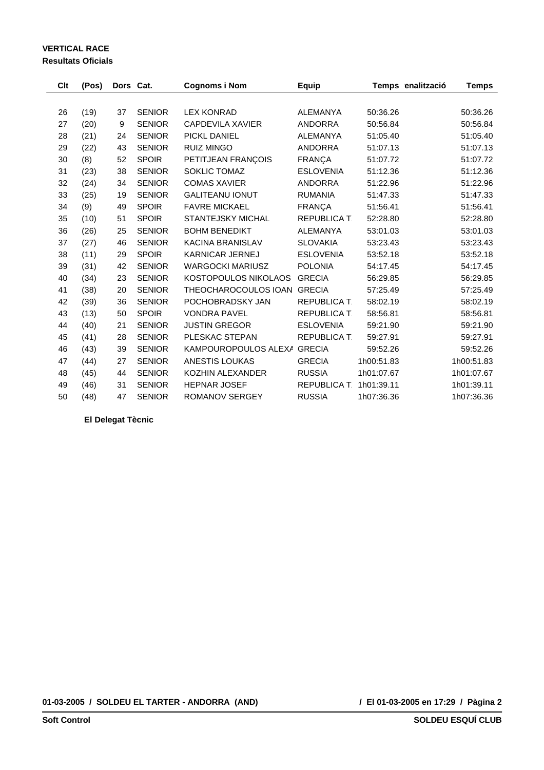### **VERTICAL RACE Resultats Oficials**

| Clt | (Pos) | Dors Cat. |               | <b>Cognoms i Nom</b>        | <b>Equip</b>        | Temps enalització | <b>Temps</b> |
|-----|-------|-----------|---------------|-----------------------------|---------------------|-------------------|--------------|
|     |       |           |               |                             |                     |                   |              |
| 26  | (19)  | 37        | <b>SENIOR</b> | <b>LEX KONRAD</b>           | <b>ALEMANYA</b>     | 50:36.26          | 50:36.26     |
| 27  | (20)  | 9         | <b>SENIOR</b> | <b>CAPDEVILA XAVIER</b>     | <b>ANDORRA</b>      | 50:56.84          | 50:56.84     |
| 28  | (21)  | 24        | <b>SENIOR</b> | PICKL DANIEL                | <b>ALEMANYA</b>     | 51:05.40          | 51:05.40     |
| 29  | (22)  | 43        | <b>SENIOR</b> | <b>RUIZ MINGO</b>           | <b>ANDORRA</b>      | 51:07.13          | 51:07.13     |
| 30  | (8)   | 52        | <b>SPOIR</b>  | PETITJEAN FRANÇOIS          | <b>FRANÇA</b>       | 51:07.72          | 51:07.72     |
| 31  | (23)  | 38        | <b>SENIOR</b> | SOKLIC TOMAZ                | <b>ESLOVENIA</b>    | 51:12.36          | 51:12.36     |
| 32  | (24)  | 34        | <b>SENIOR</b> | <b>COMAS XAVIER</b>         | <b>ANDORRA</b>      | 51:22.96          | 51:22.96     |
| 33  | (25)  | 19        | <b>SENIOR</b> | <b>GALITEANU IONUT</b>      | <b>RUMANIA</b>      | 51:47.33          | 51:47.33     |
| 34  | (9)   | 49        | <b>SPOIR</b>  | <b>FAVRE MICKAEL</b>        | <b>FRANÇA</b>       | 51:56.41          | 51:56.41     |
| 35  | (10)  | 51        | <b>SPOIR</b>  | <b>STANTEJSKY MICHAL</b>    | <b>REPUBLICA T.</b> | 52:28.80          | 52:28.80     |
| 36  | (26)  | 25        | <b>SENIOR</b> | <b>BOHM BENEDIKT</b>        | <b>ALEMANYA</b>     | 53:01.03          | 53:01.03     |
| 37  | (27)  | 46        | <b>SENIOR</b> | <b>KACINA BRANISLAV</b>     | <b>SLOVAKIA</b>     | 53:23.43          | 53:23.43     |
| 38  | (11)  | 29        | <b>SPOIR</b>  | <b>KARNICAR JERNEJ</b>      | <b>ESLOVENIA</b>    | 53:52.18          | 53:52.18     |
| 39  | (31)  | 42        | <b>SENIOR</b> | <b>WARGOCKI MARIUSZ</b>     | <b>POLONIA</b>      | 54:17.45          | 54:17.45     |
| 40  | (34)  | 23        | <b>SENIOR</b> | KOSTOPOULOS NIKOLAOS        | <b>GRECIA</b>       | 56:29.85          | 56:29.85     |
| 41  | (38)  | 20        | <b>SENIOR</b> | THEOCHAROCOULOS IOAN GRECIA |                     | 57:25.49          | 57:25.49     |
| 42  | (39)  | 36        | <b>SENIOR</b> | POCHOBRADSKY JAN            | <b>REPUBLICA T.</b> | 58:02.19          | 58:02.19     |
| 43  | (13)  | 50        | <b>SPOIR</b>  | <b>VONDRA PAVEL</b>         | <b>REPUBLICA T.</b> | 58:56.81          | 58:56.81     |
| 44  | (40)  | 21        | <b>SENIOR</b> | <b>JUSTIN GREGOR</b>        | <b>ESLOVENIA</b>    | 59:21.90          | 59:21.90     |
| 45  | (41)  | 28        | <b>SENIOR</b> | PLESKAC STEPAN              | REPUBLICA T.        | 59:27.91          | 59:27.91     |
| 46  | (43)  | 39        | <b>SENIOR</b> | KAMPOUROPOULOS ALEXA        | <b>GRECIA</b>       | 59:52.26          | 59:52.26     |
| 47  | (44)  | 27        | <b>SENIOR</b> | <b>ANESTIS LOUKAS</b>       | <b>GRECIA</b>       | 1h00:51.83        | 1h00:51.83   |
| 48  | (45)  | 44        | <b>SENIOR</b> | KOZHIN ALEXANDER            | <b>RUSSIA</b>       | 1h01:07.67        | 1h01:07.67   |
| 49  | (46)  | 31        | <b>SENIOR</b> | <b>HEPNAR JOSEF</b>         | <b>REPUBLICA T.</b> | 1h01:39.11        | 1h01:39.11   |
| 50  | (48)  | 47        | <b>SENIOR</b> | <b>ROMANOV SERGEY</b>       | <b>RUSSIA</b>       | 1h07:36.36        | 1h07:36.36   |

**El Delegat Tècnic**

**01-03-2005 / SOLDEU EL TARTER - ANDORRA (AND)**

 **/ El 01-03-2005 en 17:29 / Pàgina 2**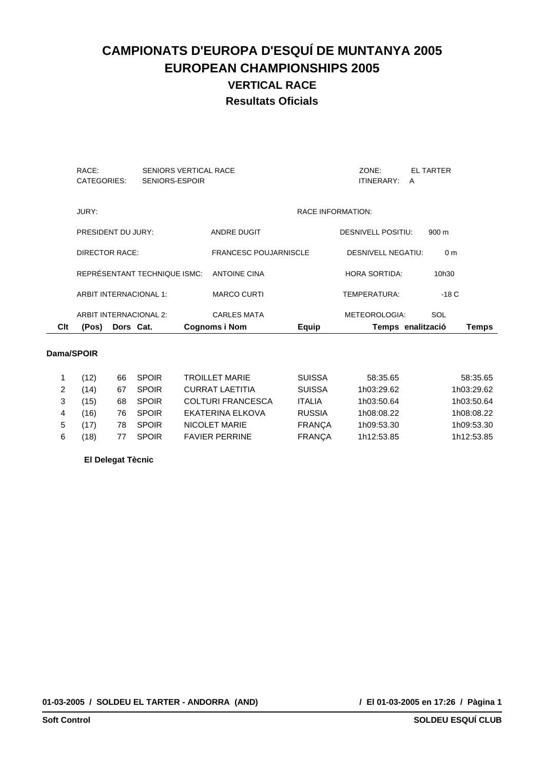| Clt | Dors Cat.<br>(Pos)     |                                                | <b>Cognoms i Nom</b>         | <b>Equip</b>             |                           | Temps enalització     | <b>Temps</b> |
|-----|------------------------|------------------------------------------------|------------------------------|--------------------------|---------------------------|-----------------------|--------------|
|     | ARBIT INTERNACIONAL 2: |                                                | <b>CARLES MATA</b>           |                          | METEOROLOGIA:             | SOL                   |              |
|     | ARBIT INTERNACIONAL 1: |                                                | <b>MARCO CURTI</b>           |                          | TEMPERATURA:              | $-18C$                |              |
|     |                        | REPRÉSENTANT TECHNIQUE ISMC:                   | <b>ANTOINE CINA</b>          |                          | <b>HORA SORTIDA:</b>      | 10h30                 |              |
|     | DIRECTOR RACE:         |                                                | <b>FRANCESC POUJARNISCLE</b> |                          | DESNIVELL NEGATIU:        | 0 <sub>m</sub>        |              |
|     | PRESIDENT DU JURY:     |                                                | ANDRE DUGIT                  |                          | <b>DESNIVELL POSITIU:</b> | 900 m                 |              |
|     | JURY:                  |                                                |                              | <b>RACE INFORMATION:</b> |                           |                       |              |
|     | RACE:<br>CATEGORIES:   | <b>SENIORS VERTICAL RACE</b><br>SENIORS-ESPOIR |                              |                          | ZONE:<br>ITINERARY:       | <b>EL TARTER</b><br>A |              |

### **Dama/SPOIR**

|   | ั12) | 66 | <b>SPOIR</b> | <b>TROILLET MARIE</b>    | <b>SUISSA</b> | 58:35.65   | 58:35.65   |
|---|------|----|--------------|--------------------------|---------------|------------|------------|
|   | 14)  | 67 | <b>SPOIR</b> | <b>CURRAT LAETITIA</b>   | <b>SUISSA</b> | 1h03:29.62 | 1h03:29.62 |
|   | 15)  | 68 | <b>SPOIR</b> | <b>COLTURI FRANCESCA</b> | <b>ITALIA</b> | 1h03:50.64 | 1h03:50.64 |
|   | (16) | 76 | <b>SPOIR</b> | EKATERINA ELKOVA         | <b>RUSSIA</b> | 1h08:08.22 | 1h08:08.22 |
| 5 |      | 78 | <b>SPOIR</b> | NICOLET MARIE            | <b>FRANCA</b> | 1h09:53.30 | 1h09:53.30 |
| 6 | 18)  |    | <b>SPOIR</b> | <b>FAVIER PERRINE</b>    | <b>FRANCA</b> | 1h12:53.85 | 1h12:53.85 |
|   |      |    |              |                          |               |            |            |

### **El Delegat Tècnic**

**01-03-2005 / SOLDEU EL TARTER - ANDORRA (AND)**

 **/ El 01-03-2005 en 17:26 / Pàgina 1**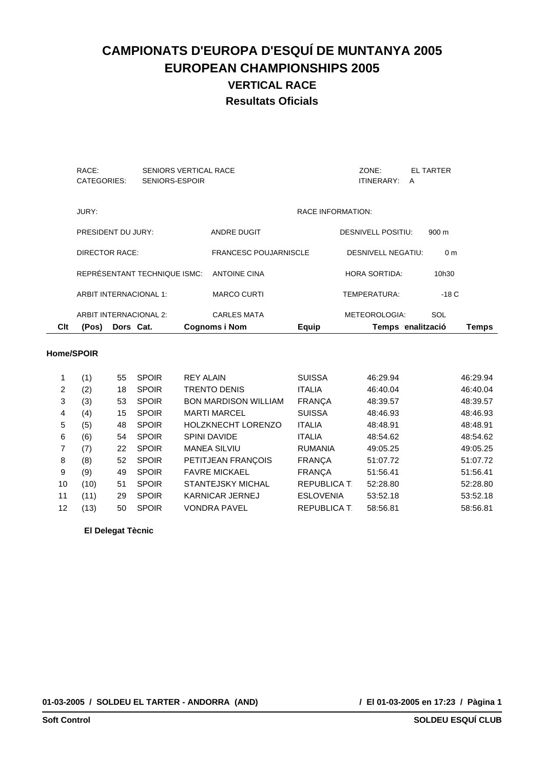| Clt | (Pos)<br>Dors Cat.           |                                         | <b>Cognoms i Nom</b>         | Equip                    |                           | Temps enalització     | Temps |
|-----|------------------------------|-----------------------------------------|------------------------------|--------------------------|---------------------------|-----------------------|-------|
|     | ARBIT INTERNACIONAL 2:       |                                         | <b>CARLES MATA</b>           |                          | METEOROLOGIA:             | SOL                   |       |
|     | ARBIT INTERNACIONAL 1:       |                                         | <b>MARCO CURTI</b>           |                          | TEMPERATURA:              | $-18C$                |       |
|     | REPRÉSENTANT TECHNIQUE ISMC: |                                         | ANTOINE CINA                 |                          | <b>HORA SORTIDA:</b>      | 10h30                 |       |
|     | DIRECTOR RACE:               |                                         | <b>FRANCESC POUJARNISCLE</b> |                          | <b>DESNIVELL NEGATIU:</b> | 0 <sub>m</sub>        |       |
|     | PRESIDENT DU JURY:           |                                         | <b>ANDRE DUGIT</b>           |                          | <b>DESNIVELL POSITIU:</b> | $900 \text{ m}$       |       |
|     | JURY:                        |                                         |                              | <b>RACE INFORMATION:</b> |                           |                       |       |
|     | RACE:<br>CATEGORIES:         | SENIORS VERTICAL RACE<br>SENIORS-ESPOIR |                              |                          | ZONE:<br>ITINERARY:       | <b>EL TARTER</b><br>A |       |
|     |                              |                                         |                              |                          |                           |                       |       |

#### **Home/SPOIR**

|    | (1)  | 55 | <b>SPOIR</b> | <b>REY ALAIN</b>            | <b>SUISSA</b>       | 46:29.94 | 46:29.94 |
|----|------|----|--------------|-----------------------------|---------------------|----------|----------|
| 2  | (2)  | 18 | <b>SPOIR</b> | <b>TRENTO DENIS</b>         | <b>ITALIA</b>       | 46:40.04 | 46:40.04 |
| 3  | (3)  | 53 | <b>SPOIR</b> | <b>BON MARDISON WILLIAM</b> | <b>FRANCA</b>       | 48:39.57 | 48:39.57 |
| 4  | (4)  | 15 | <b>SPOIR</b> | <b>MARTI MARCEL</b>         | <b>SUISSA</b>       | 48:46.93 | 48:46.93 |
| 5  | (5)  | 48 | <b>SPOIR</b> | <b>HOLZKNECHT LORENZO</b>   | <b>ITALIA</b>       | 48:48.91 | 48:48.91 |
| 6  | (6)  | 54 | <b>SPOIR</b> | <b>SPINI DAVIDE</b>         | <b>ITALIA</b>       | 48:54.62 | 48:54.62 |
| 7  | (7)  | 22 | <b>SPOIR</b> | <b>MANEA SILVIU</b>         | <b>RUMANIA</b>      | 49:05.25 | 49:05.25 |
| 8  | (8)  | 52 | <b>SPOIR</b> | PETITJEAN FRANÇOIS          | <b>FRANCA</b>       | 51:07.72 | 51:07.72 |
| 9  | (9)  | 49 | <b>SPOIR</b> | <b>FAVRE MICKAEL</b>        | <b>FRANCA</b>       | 51:56.41 | 51:56.41 |
| 10 | (10) | 51 | <b>SPOIR</b> | <b>STANTEJSKY MICHAL</b>    | <b>REPUBLICA T</b>  | 52:28.80 | 52:28.80 |
| 11 | (11) | 29 | <b>SPOIR</b> | KARNICAR JERNEJ             | <b>ESLOVENIA</b>    | 53:52.18 | 53:52.18 |
| 12 | (13) | 50 | <b>SPOIR</b> | <b>VONDRA PAVEL</b>         | <b>REPUBLICA T.</b> | 58:56.81 | 58:56.81 |
|    |      |    |              |                             |                     |          |          |

**El Delegat Tècnic**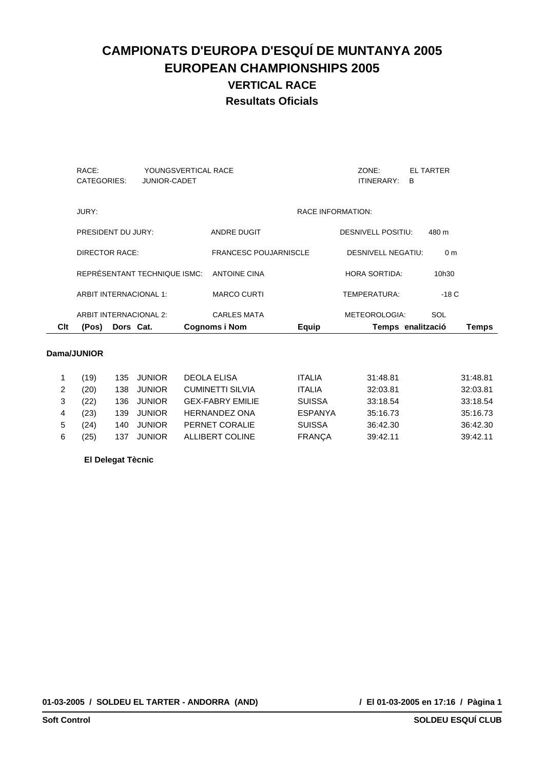| Clt | (Pos)<br>Dors Cat.     |                                            | <b>Cognoms i Nom</b>         | <b>Equip</b>             |                           | Temps enalització     | <b>Temps</b> |
|-----|------------------------|--------------------------------------------|------------------------------|--------------------------|---------------------------|-----------------------|--------------|
|     | ARBIT INTERNACIONAL 2: |                                            | <b>CARLES MATA</b>           |                          | METEOROLOGIA:             | SOL                   |              |
|     | ARBIT INTERNACIONAL 1: |                                            | <b>MARCO CURTI</b>           |                          | TEMPERATURA:              | $-18C$                |              |
|     |                        | REPRÉSENTANT TECHNIQUE ISMC:               | <b>ANTOINE CINA</b>          |                          | <b>HORA SORTIDA:</b>      | 10h30                 |              |
|     | DIRECTOR RACE:         |                                            | <b>FRANCESC POUJARNISCLE</b> |                          | DESNIVELL NEGATIU:        | 0 <sub>m</sub>        |              |
|     | PRESIDENT DU JURY:     |                                            | ANDRE DUGIT                  |                          | <b>DESNIVELL POSITIU:</b> | 480 m                 |              |
|     | JURY:                  |                                            |                              | <b>RACE INFORMATION:</b> |                           |                       |              |
|     | RACE:<br>CATEGORIES:   | YOUNGSVERTICAL RACE<br><b>JUNIOR-CADET</b> |                              |                          | ZONE:<br>ITINERARY:       | <b>EL TARTER</b><br>в |              |

### **Dama/JUNIOR**

|   | ้19) | 135 JUNIOR |               | DEOLA ELISA             | <b>ITALIA</b>  | 31:48.81 | 31:48.81 |
|---|------|------------|---------------|-------------------------|----------------|----------|----------|
| 2 | (20) | 138        | <b>JUNIOR</b> | <b>CUMINETTI SILVIA</b> | <b>ITALIA</b>  | 32:03.81 | 32:03.81 |
| 3 | (22) | 136        | <b>JUNIOR</b> | <b>GEX-FABRY EMILIE</b> | <b>SUISSA</b>  | 33:18.54 | 33:18.54 |
| 4 | (23) | 139        | <b>JUNIOR</b> | <b>HERNANDEZ ONA</b>    | <b>ESPANYA</b> | 35:16.73 | 35:16.73 |
| 5 | (24) | 140        | <b>JUNIOR</b> | PERNET CORALIE          | <b>SUISSA</b>  | 36:42.30 | 36:42.30 |
| 6 | '25) | 137        | <b>JUNIOR</b> | ALLIBERT COLINE         | <b>FRANCA</b>  | 39:42.11 | 39:42.11 |

### **El Delegat Tècnic**

**01-03-2005 / SOLDEU EL TARTER - ANDORRA (AND)**

 **/ El 01-03-2005 en 17:16 / Pàgina 1**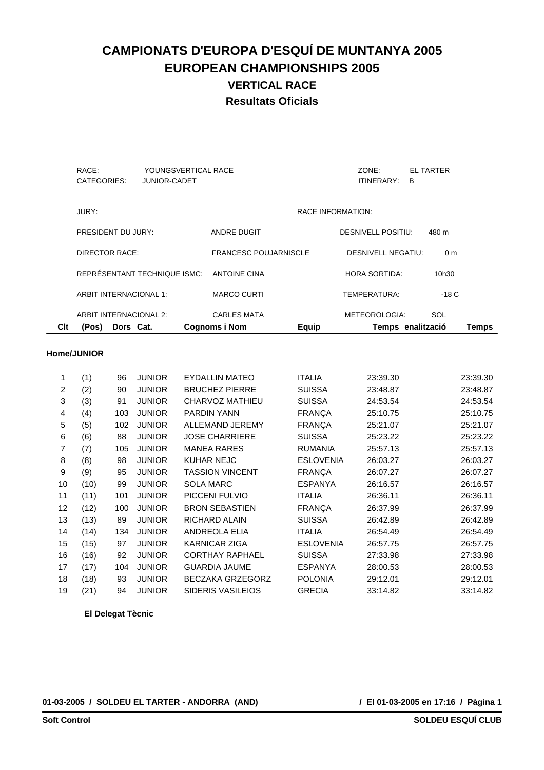| Clt | (Pos)<br>Dors Cat.     |                                            | <b>Cognoms i Nom</b>         | Equip                    |                           | Temps enalització | <b>Temps</b> |
|-----|------------------------|--------------------------------------------|------------------------------|--------------------------|---------------------------|-------------------|--------------|
|     | ARBIT INTERNACIONAL 2: |                                            | <b>CARLES MATA</b>           |                          | METEOROLOGIA:             | SOL               |              |
|     | ARBIT INTERNACIONAL 1: |                                            | <b>MARCO CURTI</b>           |                          | TEMPERATURA:              | -18 C             |              |
|     |                        | REPRÉSENTANT TECHNIQUE ISMC:               | ANTOINE CINA                 |                          | <b>HORA SORTIDA:</b>      | 10h30             |              |
|     | DIRECTOR RACE:         |                                            | <b>FRANCESC POUJARNISCLE</b> |                          | <b>DESNIVELL NEGATIU:</b> | 0 <sub>m</sub>    |              |
|     | PRESIDENT DU JURY:     |                                            | <b>ANDRE DUGIT</b>           |                          | <b>DESNIVELL POSITIU:</b> | 480 m             |              |
|     | JURY:                  |                                            |                              | <b>RACE INFORMATION:</b> |                           |                   |              |
|     | RACE:<br>CATEGORIES:   | YOUNGSVERTICAL RACE<br><b>JUNIOR-CADET</b> |                              |                          | ZONE:<br>ITINERARY:       | EL TARTER<br>в    |              |
|     |                        |                                            |                              |                          |                           |                   |              |

#### **Home/JUNIOR**

| 1  | (1)  | 96  | <b>JUNIOR</b> | <b>EYDALLIN MATEO</b>    | <b>ITALIA</b>    | 23:39.30 | 23:39.30 |
|----|------|-----|---------------|--------------------------|------------------|----------|----------|
| 2  | (2)  | 90  | <b>JUNIOR</b> | <b>BRUCHEZ PIERRE</b>    | <b>SUISSA</b>    | 23:48.87 | 23:48.87 |
| 3  | (3)  | 91  | <b>JUNIOR</b> | CHARVOZ MATHIEU          | <b>SUISSA</b>    | 24:53.54 | 24:53.54 |
| 4  | (4)  | 103 | <b>JUNIOR</b> | <b>PARDIN YANN</b>       | <b>FRANÇA</b>    | 25:10.75 | 25:10.75 |
| 5  | (5)  | 102 | <b>JUNIOR</b> | ALLEMAND JEREMY          | <b>FRANÇA</b>    | 25:21.07 | 25:21.07 |
| 6  | (6)  | 88  | <b>JUNIOR</b> | <b>JOSE CHARRIERE</b>    | <b>SUISSA</b>    | 25:23.22 | 25:23.22 |
| 7  | (7)  | 105 | <b>JUNIOR</b> | <b>MANEA RARES</b>       | <b>RUMANIA</b>   | 25:57.13 | 25:57.13 |
| 8  | (8)  | 98  | <b>JUNIOR</b> | <b>KUHAR NEJC</b>        | <b>ESLOVENIA</b> | 26:03.27 | 26:03.27 |
| 9  | (9)  | 95  | <b>JUNIOR</b> | <b>TASSION VINCENT</b>   | <b>FRANÇA</b>    | 26:07.27 | 26:07.27 |
| 10 | (10) | 99  | <b>JUNIOR</b> | <b>SOLA MARC</b>         | <b>ESPANYA</b>   | 26:16.57 | 26:16.57 |
| 11 | (11) | 101 | <b>JUNIOR</b> | PICCENI FULVIO           | <b>ITALIA</b>    | 26:36.11 | 26:36.11 |
| 12 | (12) | 100 | <b>JUNIOR</b> | <b>BRON SEBASTIEN</b>    | <b>FRANÇA</b>    | 26:37.99 | 26:37.99 |
| 13 | (13) | 89  | <b>JUNIOR</b> | RICHARD ALAIN            | <b>SUISSA</b>    | 26:42.89 | 26:42.89 |
| 14 | (14) | 134 | <b>JUNIOR</b> | <b>ANDREOLA ELIA</b>     | <b>ITALIA</b>    | 26:54.49 | 26:54.49 |
| 15 | (15) | 97  | <b>JUNIOR</b> | <b>KARNICAR ZIGA</b>     | <b>ESLOVENIA</b> | 26:57.75 | 26:57.75 |
| 16 | (16) | 92  | <b>JUNIOR</b> | <b>CORTHAY RAPHAEL</b>   | <b>SUISSA</b>    | 27:33.98 | 27:33.98 |
| 17 | (17) | 104 | <b>JUNIOR</b> | <b>GUARDIA JAUME</b>     | <b>ESPANYA</b>   | 28:00.53 | 28:00.53 |
| 18 | (18) | 93  | <b>JUNIOR</b> | <b>BECZAKA GRZEGORZ</b>  | <b>POLONIA</b>   | 29:12.01 | 29:12.01 |
| 19 | (21) | 94  | <b>JUNIOR</b> | <b>SIDERIS VASILEIOS</b> | <b>GRECIA</b>    | 33:14.82 | 33:14.82 |

**El Delegat Tècnic**

**01-03-2005 / SOLDEU EL TARTER - ANDORRA (AND)**

 **/ El 01-03-2005 en 17:16 / Pàgina 1**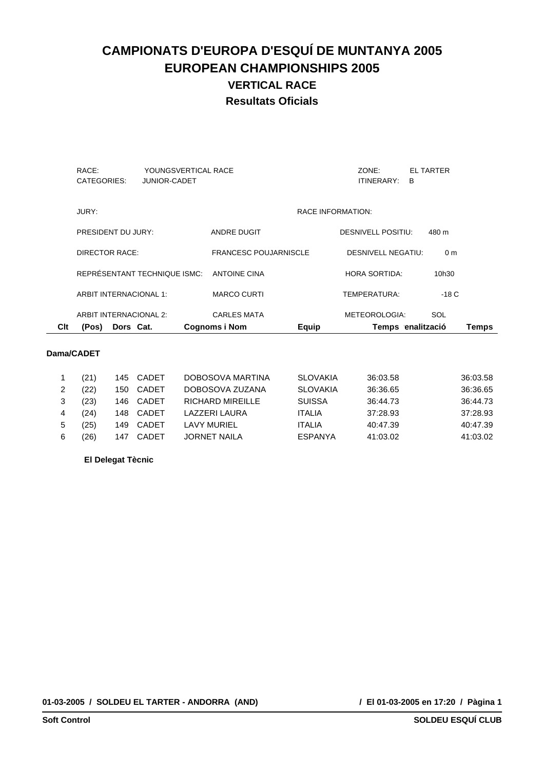| Clt | (Pos)<br>Dors Cat.     |                                            | <b>Cognoms i Nom</b>         | Equip                    |                           | Temps enalització     | Temps |
|-----|------------------------|--------------------------------------------|------------------------------|--------------------------|---------------------------|-----------------------|-------|
|     | ARBIT INTERNACIONAL 2: |                                            | <b>CARLES MATA</b>           |                          | METEOROLOGIA:             | SOL                   |       |
|     | ARBIT INTERNACIONAL 1: |                                            | <b>MARCO CURTI</b>           |                          | TEMPERATURA:              | $-18C$                |       |
|     |                        | REPRÉSENTANT TECHNIQUE ISMC:               | <b>ANTOINE CINA</b>          |                          | <b>HORA SORTIDA:</b>      | 10h30                 |       |
|     | DIRECTOR RACE:         |                                            | <b>FRANCESC POUJARNISCLE</b> |                          | <b>DESNIVELL NEGATIU:</b> | 0 <sub>m</sub>        |       |
|     | PRESIDENT DU JURY:     |                                            | ANDRE DUGIT                  |                          | <b>DESNIVELL POSITIU:</b> | 480 m                 |       |
|     | JURY:                  |                                            |                              | <b>RACE INFORMATION:</b> |                           |                       |       |
|     | RACE:<br>CATEGORIES:   | YOUNGSVERTICAL RACE<br><b>JUNIOR-CADET</b> |                              |                          | ZONE:<br>ITINERARY:       | <b>EL TARTER</b><br>B |       |
|     |                        |                                            |                              |                          |                           |                       |       |

### **Dama/CADET**

|   | (21 |     | 145 CADET | DOBOSOVA MARTINA    | <b>SLOVAKIA</b> | 36:03.58 | 36:03.58 |
|---|-----|-----|-----------|---------------------|-----------------|----------|----------|
|   | 22) | 150 | CADET     | DOBOSOVA ZUZANA     | <b>SLOVAKIA</b> | 36:36.65 | 36:36.65 |
|   | 23) | 146 | CADET     | RICHARD MIREILLE    | <b>SUISSA</b>   | 36:44.73 | 36:44.73 |
|   | 24) | 148 | CADET     | LAZZERI LAURA       | ITAI IA         | 37:28.93 | 37:28.93 |
| 5 | 25) | 149 | CADET     | LAVY MURIEL         | ITAI IA         | 40:47.39 | 40:47.39 |
| 6 | 26) | 147 | CADET     | <b>JORNET NAILA</b> | <b>ESPANYA</b>  | 41:03.02 | 41:03.02 |
|   |     |     |           |                     |                 |          |          |

### **El Delegat Tècnic**

**01-03-2005 / SOLDEU EL TARTER - ANDORRA (AND)**

 **/ El 01-03-2005 en 17:20 / Pàgina 1**